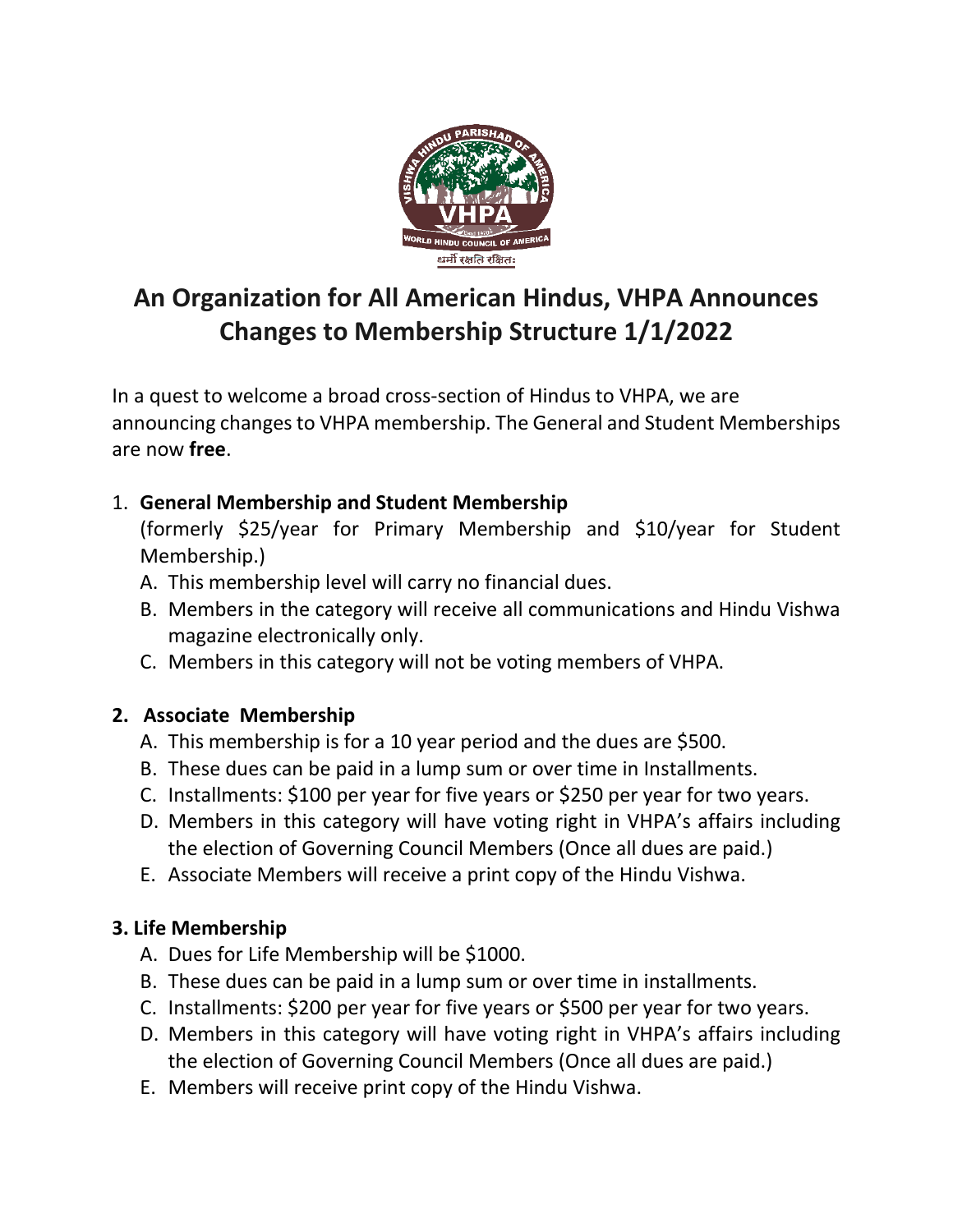

# **An Organization for All American Hindus, VHPA Announces Changes to Membership Structure 1/1/2022**

In a quest to welcome a broad cross-section of Hindus to VHPA, we are announcing changes to VHPA membership. The General and Student Memberships are now **free**.

## 1. **General Membership and Student Membership**

(formerly \$25/year for Primary Membership and \$10/year for Student Membership.)

- A. This membership level will carry no financial dues.
- B. Members in the category will receive all communications and Hindu Vishwa magazine electronically only.
- C. Members in this category will not be voting members of VHPA.

## **2. Associate Membership**

- A. This membership is for a 10 year period and the dues are \$500.
- B. These dues can be paid in a lump sum or over time in Installments.
- C. Installments: \$100 per year for five years or \$250 per year for two years.
- D. Members in this category will have voting right in VHPA's affairs including the election of Governing Council Members (Once all dues are paid.)
- E. Associate Members will receive a print copy of the Hindu Vishwa.

## **3. Life Membership**

- A. Dues for Life Membership will be \$1000.
- B. These dues can be paid in a lump sum or over time in installments.
- C. Installments: \$200 per year for five years or \$500 per year for two years.
- D. Members in this category will have voting right in VHPA's affairs including the election of Governing Council Members (Once all dues are paid.)
- E. Members will receive print copy of the Hindu Vishwa.